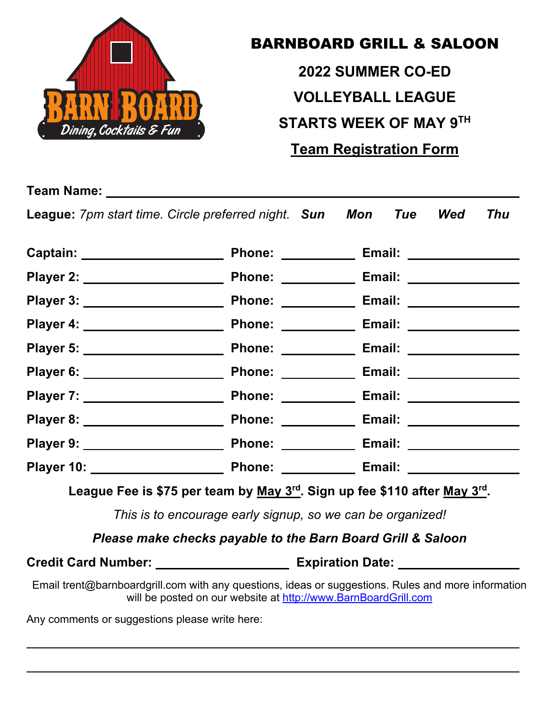

## BARNBOARD GRILL & SALOON

**2022 SUMMER CO-ED VOLLEYBALL LEAGUE STARTS WEEK OF MAY 9TH Team Registration Form**

**League:** *7pm start time. Circle preferred night. Sun Mon Tue Wed Thu*

| Captain: ______________________   | Phone: __________ | Email: ________________  |
|-----------------------------------|-------------------|--------------------------|
| Player 2: _____________________   |                   |                          |
| Player 3: _____________________   | Phone: __________ | Email: ________________  |
| Player 4: _____________________   | Phone: _________  |                          |
|                                   |                   |                          |
| Player 6: _____________________   | Phone: __________ | Email: ________________  |
| Player 7: _____________________   | Phone: __________ |                          |
| Player 8: _______________________ | Phone: __________ |                          |
|                                   |                   | Email: _________________ |
|                                   |                   |                          |

**League Fee is \$75 per team by May 3rd. Sign up fee \$110 after May 3rd.** 

*This is to encourage early signup, so we can be organized!*

*Please make checks payable to the Barn Board Grill & Saloon*

Credit Card Number: \_\_\_\_\_\_\_\_\_\_\_\_\_\_\_\_\_\_\_\_\_\_\_\_\_ Expiration Date: \_\_\_\_\_\_\_\_\_

Email trent@barnboardgrill.com with any questions, ideas or suggestions. Rules and more information will be posted on our website at http://www.BarnBoardGrill.com

Any comments or suggestions please write here: